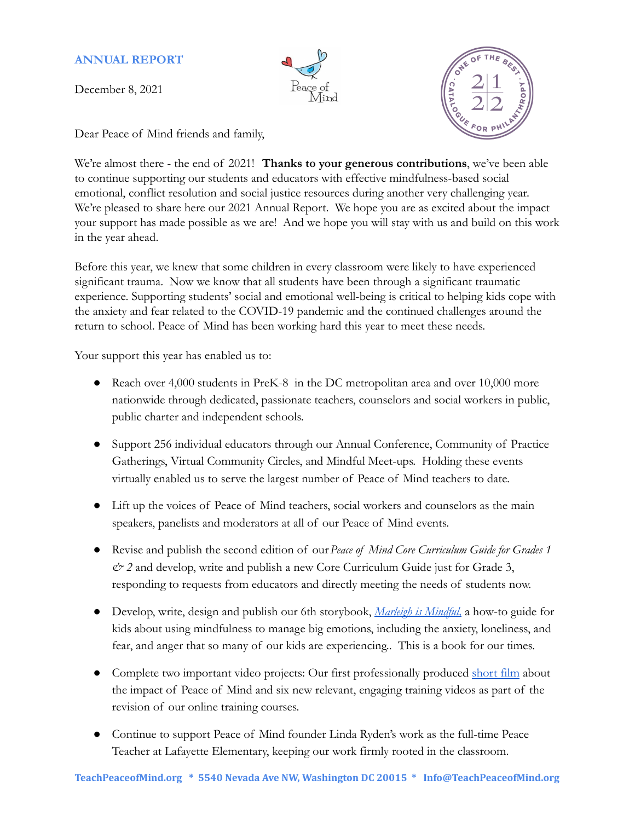## **ANNUAL REPORT**

December 8, 2021





Dear Peace of Mind friends and family,

We're almost there - the end of 2021! **Thanks to your generous contributions**, we've been able to continue supporting our students and educators with effective mindfulness-based social emotional, conflict resolution and social justice resources during another very challenging year. We're pleased to share here our 2021 Annual Report. We hope you are as excited about the impact your support has made possible as we are! And we hope you will stay with us and build on this work in the year ahead.

Before this year, we knew that some children in every classroom were likely to have experienced significant trauma. Now we know that all students have been through a significant traumatic experience. Supporting students' social and emotional well-being is critical to helping kids cope with the anxiety and fear related to the COVID-19 pandemic and the continued challenges around the return to school. Peace of Mind has been working hard this year to meet these needs.

Your support this year has enabled us to:

- Reach over 4,000 students in PreK-8 in the DC metropolitan area and over 10,000 more nationwide through dedicated, passionate teachers, counselors and social workers in public, public charter and independent schools.
- Support 256 individual educators through our Annual Conference, Community of Practice Gatherings, Virtual Community Circles, and Mindful Meet-ups. Holding these events virtually enabled us to serve the largest number of Peace of Mind teachers to date.
- Lift up the voices of Peace of Mind teachers, social workers and counselors as the main speakers, panelists and moderators at all of our Peace of Mind events.
- Revise and publish the second edition of our*Peace of Mind Core Curriculum Guide for Grades 1 & 2* and develop, write and publish a new Core Curriculum Guide just for Grade 3, responding to requests from educators and directly meeting the needs of students now.
- Develop, write, design and publish our 6th storybook, *[Marleigh is Mindful,](https://teachpeaceofmind.org/2021/storybook/)* a how-to guide for kids about using mindfulness to manage big emotions, including the anxiety, loneliness, and fear, and anger that so many of our kids are experiencing.. This is a book for our times.
- Complete two important video projects: Our first professionally produced [short film](https://youtu.be/CZByyw8o8x8) about the impact of Peace of Mind and six new relevant, engaging training videos as part of the revision of our online training courses.
- Continue to support Peace of Mind founder Linda Ryden's work as the full-time Peace Teacher at Lafayette Elementary, keeping our work firmly rooted in the classroom.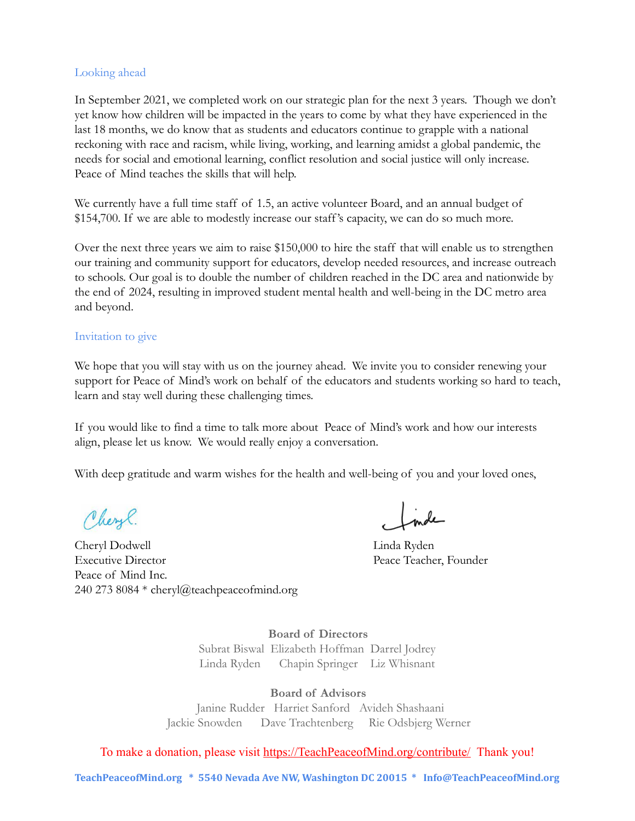#### Looking ahead

In September 2021, we completed work on our strategic plan for the next 3 years. Though we don't yet know how children will be impacted in the years to come by what they have experienced in the last 18 months, we do know that as students and educators continue to grapple with a national reckoning with race and racism, while living, working, and learning amidst a global pandemic, the needs for social and emotional learning, conflict resolution and social justice will only increase. Peace of Mind teaches the skills that will help.

We currently have a full time staff of 1.5, an active volunteer Board, and an annual budget of \$154,700. If we are able to modestly increase our staff's capacity, we can do so much more.

Over the next three years we aim to raise \$150,000 to hire the staff that will enable us to strengthen our training and community support for educators, develop needed resources, and increase outreach to schools. Our goal is to double the number of children reached in the DC area and nationwide by the end of 2024, resulting in improved student mental health and well-being in the DC metro area and beyond.

#### Invitation to give

We hope that you will stay with us on the journey ahead. We invite you to consider renewing your support for Peace of Mind's work on behalf of the educators and students working so hard to teach, learn and stay well during these challenging times.

If you would like to find a time to talk more about Peace of Mind's work and how our interests align, please let us know. We would really enjoy a conversation.

With deep gratitude and warm wishes for the health and well-being of you and your loved ones,

Cheryl.

Cheryl Dodwell Linda Ryden Executive Director Peace Teacher, Founder Peace of Mind Inc. 240 273 8084 \* cheryl@teachpeaceofmind.org

**Board of Directors** Subrat Biswal Elizabeth Hoffman Darrel Jodrey Linda Ryden Chapin Springer Liz Whisnant

**Board of Advisors** Janine Rudder Harriet Sanford Avideh Shashaani Jackie Snowden Dave Trachtenberg Rie Odsbjerg Werner

To make a donation, please visit [https://TeachPeaceofMind.org/contribute/](https://teachpeaceofmind.org/contribute/) Thank you!

**TeachPeaceofMind.org \* 5540 Nevada Ave NW, Washington DC 20015 \* Info@TeachPeaceofMind.org**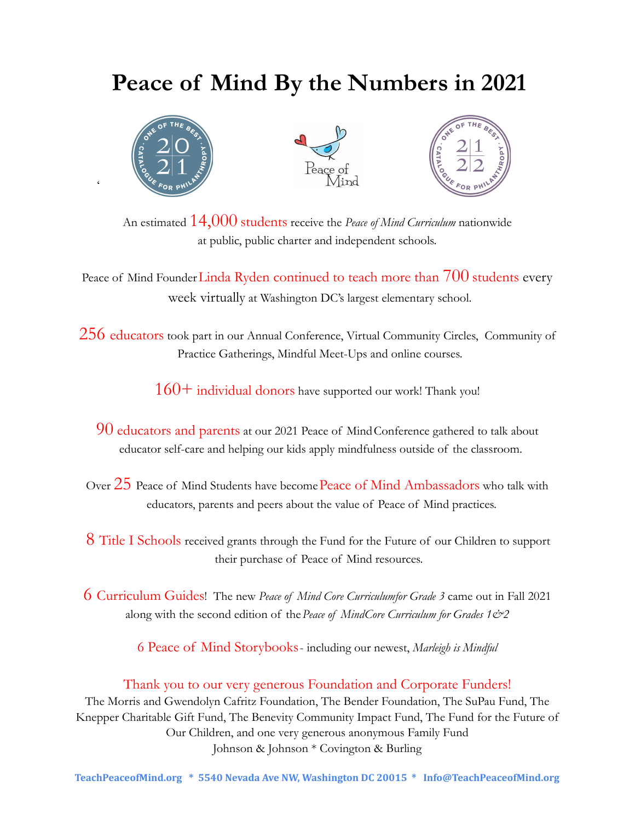# **Peace of Mind By the Numbers in 2021**



 $\epsilon$ 





An estimated 14,000 students receive the *Peace of Mind Curriculum* nationwide at public, public charter and independent schools.

Peace of Mind Founder Linda Ryden continued to teach more than 700 students every week virtually at Washington DC's largest elementary school.

256 educators took part in our Annual Conference, Virtual Community Circles, Community of Practice Gatherings, Mindful Meet-Ups and online courses.

 $160+$  individual donors have supported our work! Thank you!

90 educators and parents at our 2021 Peace of MindConference gathered to talk about educator self-care and helping our kids apply mindfulness outside of the classroom.

Over 25 Peace of Mind Students have become Peace of Mind Ambassadors who talk with educators, parents and peers about the value of Peace of Mind practices.

8 Title I Schools received grants through the Fund for the Future of our Children to support their purchase of Peace of Mind resources.

6 Curriculum Guides! The new *Peace of Mind Core Curriculumfor Grade 3* came out in Fall 2021 along with the second edition of the Peace of MindCore Curriculum for Grades 1&2

6 Peace of Mind Storybooks- including our newest, *Marleigh is Mindful*

## Thank you to our very generous Foundation and Corporate Funders!

The Morris and Gwendolyn Cafritz Foundation, The Bender Foundation, The SuPau Fund, The Knepper Charitable Gift Fund, The Benevity Community Impact Fund, The Fund for the Future of Our Children, and one very generous anonymous Family Fund Johnson & Johnson \* Covington & Burling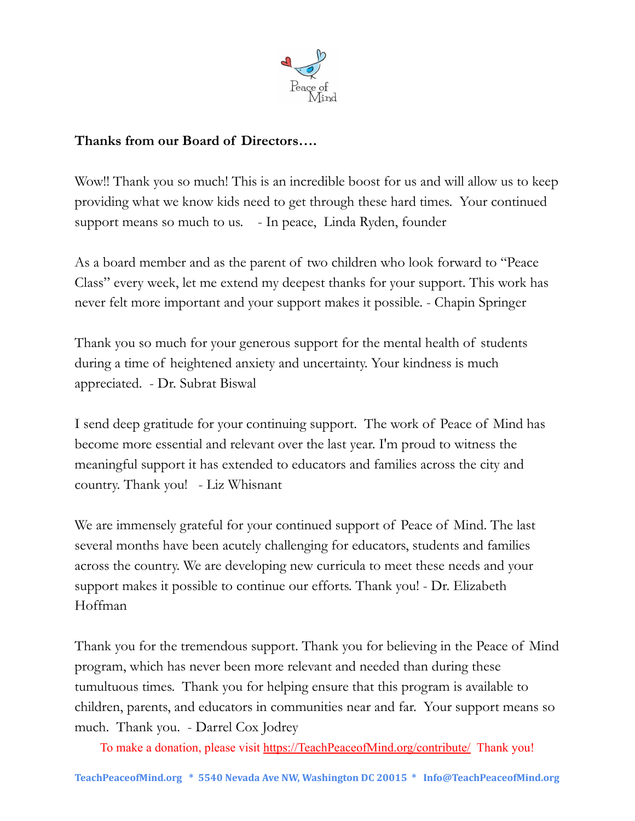

# **Thanks from our Board of Directors….**

Wow!! Thank you so much! This is an incredible boost for us and will allow us to keep providing what we know kids need to get through these hard times. Your continued support means so much to us. - In peace, Linda Ryden, founder

As a board member and as the parent of two children who look forward to "Peace Class" every week, let me extend my deepest thanks for your support. This work has never felt more important and your support makes it possible. - Chapin Springer

Thank you so much for your generous support for the mental health of students during a time of heightened anxiety and uncertainty. Your kindness is much appreciated. - Dr. Subrat Biswal

I send deep gratitude for your continuing support. The work of Peace of Mind has become more essential and relevant over the last year. I'm proud to witness the meaningful support it has extended to educators and families across the city and country. Thank you! - Liz Whisnant

We are immensely grateful for your continued support of Peace of Mind. The last several months have been acutely challenging for educators, students and families across the country. We are developing new curricula to meet these needs and your support makes it possible to continue our efforts. Thank you! - Dr. Elizabeth Hoffman

Thank you for the tremendous support. Thank you for believing in the Peace of Mind program, which has never been more relevant and needed than during these tumultuous times. Thank you for helping ensure that this program is available to children, parents, and educators in communities near and far. Your support means so much. Thank you. - Darrel Cox Jodrey

To make a donation, please visit [https://TeachPeaceofMind.org/contribute/](https://teachpeaceofmind.org/contribute/) Thank you!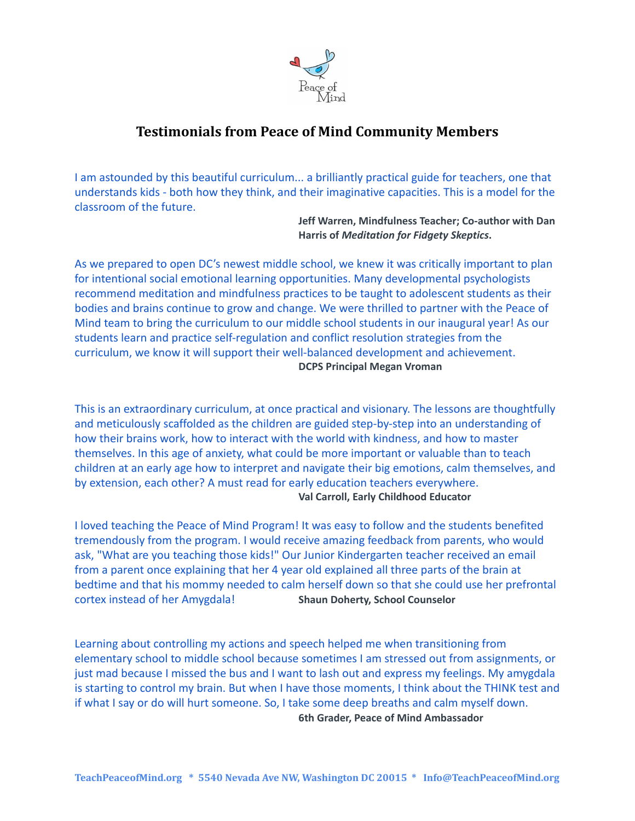

# **Testimonials from Peace of Mind Community Members**

I am astounded by this beautiful curriculum... a brilliantly practical guide for teachers, one that understands kids - both how they think, and their imaginative capacities. This is a model for the classroom of the future.

> **Jeff Warren, Mindfulness Teacher; Co-author with Dan Harris of** *Meditation for Fidgety Skeptics***.**

As we prepared to open DC's newest middle school, we knew it was critically important to plan for intentional social emotional learning opportunities. Many developmental psychologists recommend meditation and mindfulness practices to be taught to adolescent students as their bodies and brains continue to grow and change. We were thrilled to partner with the Peace of Mind team to bring the curriculum to our middle school students in our inaugural year! As our students learn and practice self-regulation and conflict resolution strategies from the curriculum, we know it will support their well-balanced development and achievement. **DCPS Principal Megan Vroman**

This is an extraordinary curriculum, at once practical and visionary. The lessons are thoughtfully and meticulously scaffolded as the children are guided step-by-step into an understanding of how their brains work, how to interact with the world with kindness, and how to master themselves. In this age of anxiety, what could be more important or valuable than to teach children at an early age how to interpret and navigate their big emotions, calm themselves, and by extension, each other? A must read for early education teachers everywhere. **Val Carroll, Early Childhood Educator**

I loved teaching the Peace of Mind Program! It was easy to follow and the students benefited tremendously from the program. I would receive amazing feedback from parents, who would ask, "What are you teaching those kids!" Our Junior Kindergarten teacher received an email from a parent once explaining that her 4 year old explained all three parts of the brain at bedtime and that his mommy needed to calm herself down so that she could use her prefrontal cortex instead of her Amygdala! **Shaun Doherty, School Counselor**

Learning about controlling my actions and speech helped me when transitioning from elementary school to middle school because sometimes I am stressed out from assignments, or just mad because I missed the bus and I want to lash out and express my feelings. My amygdala is starting to control my brain. But when I have those moments, I think about the THINK test and if what I say or do will hurt someone. So, I take some deep breaths and calm myself down. **6th Grader, Peace of Mind Ambassador**